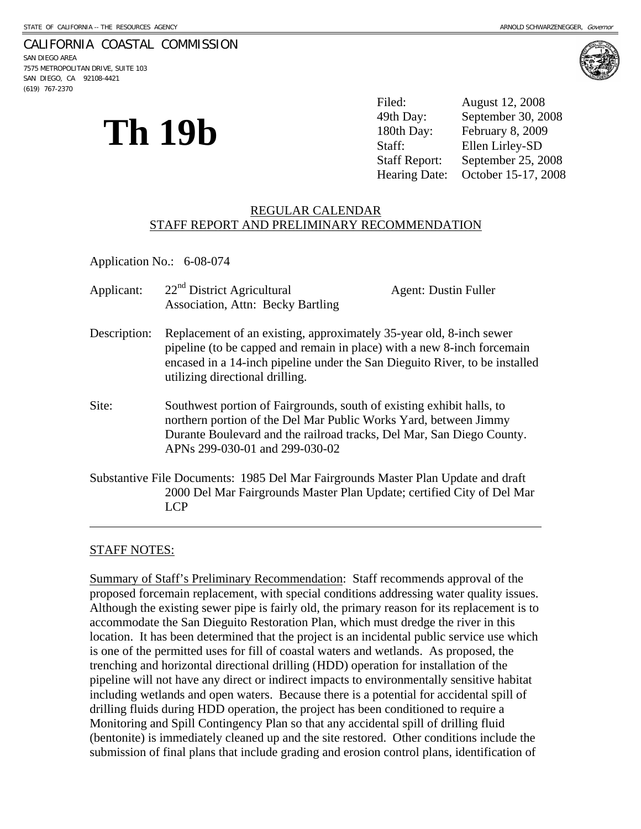### CALIFORNIA COASTAL COMMISSION

SAN DIEGO AREA 7575 METROPOLITAN DRIVE, SUITE 103 SAN DIEGO, CA 92108-4421 (619) 767-2370



**Th 19b** 

Filed: August 12, 2008 49th Day: September 30, 2008 180th Day: February 8, 2009 Staff: Ellen Lirley-SD Staff Report: September 25, 2008 Hearing Date: October 15-17, 2008

### REGULAR CALENDAR STAFF REPORT AND PRELIMINARY RECOMMENDATION

Application No.: 6-08-074

| Applicant:   | 22 <sup>nd</sup> District Agricultural<br><b>Association, Attn: Becky Bartling</b>                                                                                                                                                                               | <b>Agent: Dustin Fuller</b> |
|--------------|------------------------------------------------------------------------------------------------------------------------------------------------------------------------------------------------------------------------------------------------------------------|-----------------------------|
| Description: | Replacement of an existing, approximately 35-year old, 8-inch sewer<br>pipeline (to be capped and remain in place) with a new 8-inch forcemain<br>encased in a 14-inch pipeline under the San Dieguito River, to be installed<br>utilizing directional drilling. |                             |
| Site:        | Southwest portion of Fairgrounds, south of existing exhibit halls, to<br>northern portion of the Del Mar Public Works Yard, between Jimmy<br>Durante Boulevard and the railroad tracks, Del Mar, San Diego County.<br>APNs 299-030-01 and 299-030-02             |                             |
|              | Substantive File Documents: 1985 Del Mar Fairgrounds Master Plan Update and draft<br>2000 Del Mar Fairgrounds Master Plan Update; certified City of Del Mar<br>LCP                                                                                               |                             |

### STAFF NOTES:

l

Summary of Staff's Preliminary Recommendation: Staff recommends approval of the proposed forcemain replacement, with special conditions addressing water quality issues. Although the existing sewer pipe is fairly old, the primary reason for its replacement is to accommodate the San Dieguito Restoration Plan, which must dredge the river in this location. It has been determined that the project is an incidental public service use which is one of the permitted uses for fill of coastal waters and wetlands. As proposed, the trenching and horizontal directional drilling (HDD) operation for installation of the pipeline will not have any direct or indirect impacts to environmentally sensitive habitat including wetlands and open waters. Because there is a potential for accidental spill of drilling fluids during HDD operation, the project has been conditioned to require a Monitoring and Spill Contingency Plan so that any accidental spill of drilling fluid (bentonite) is immediately cleaned up and the site restored. Other conditions include the submission of final plans that include grading and erosion control plans, identification of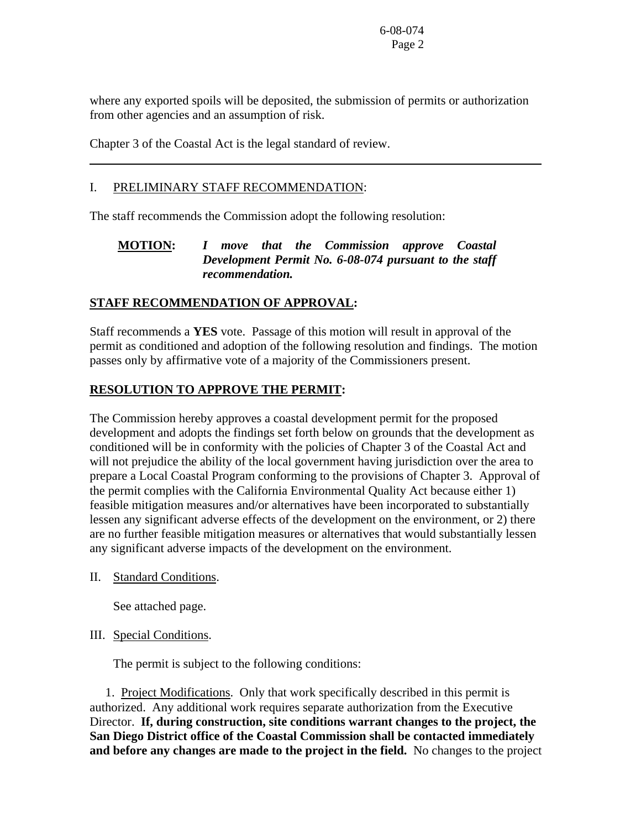where any exported spoils will be deposited, the submission of permits or authorization from other agencies and an assumption of risk.

Chapter 3 of the Coastal Act is the legal standard of review.

## I. PRELIMINARY STAFF RECOMMENDATION:

 $\overline{a}$ 

The staff recommends the Commission adopt the following resolution:

# **MOTION:** *I move that the Commission approve Coastal Development Permit No. 6-08-074 pursuant to the staff recommendation.*

# **STAFF RECOMMENDATION OF APPROVAL:**

Staff recommends a **YES** vote. Passage of this motion will result in approval of the permit as conditioned and adoption of the following resolution and findings. The motion passes only by affirmative vote of a majority of the Commissioners present.

# **RESOLUTION TO APPROVE THE PERMIT:**

The Commission hereby approves a coastal development permit for the proposed development and adopts the findings set forth below on grounds that the development as conditioned will be in conformity with the policies of Chapter 3 of the Coastal Act and will not prejudice the ability of the local government having jurisdiction over the area to prepare a Local Coastal Program conforming to the provisions of Chapter 3. Approval of the permit complies with the California Environmental Quality Act because either 1) feasible mitigation measures and/or alternatives have been incorporated to substantially lessen any significant adverse effects of the development on the environment, or 2) there are no further feasible mitigation measures or alternatives that would substantially lessen any significant adverse impacts of the development on the environment.

II. Standard Conditions.

See attached page.

## III. Special Conditions.

The permit is subject to the following conditions:

 1. Project Modifications. Only that work specifically described in this permit is authorized. Any additional work requires separate authorization from the Executive Director. **If, during construction, site conditions warrant changes to the project, the San Diego District office of the Coastal Commission shall be contacted immediately and before any changes are made to the project in the field.** No changes to the project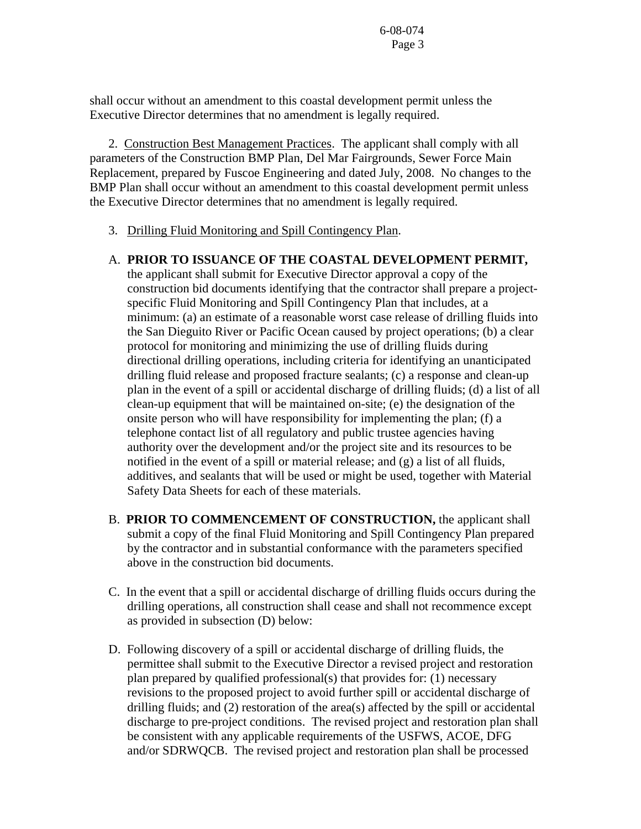shall occur without an amendment to this coastal development permit unless the Executive Director determines that no amendment is legally required.

 2. Construction Best Management Practices. The applicant shall comply with all parameters of the Construction BMP Plan, Del Mar Fairgrounds, Sewer Force Main Replacement, prepared by Fuscoe Engineering and dated July, 2008. No changes to the BMP Plan shall occur without an amendment to this coastal development permit unless the Executive Director determines that no amendment is legally required.

3. Drilling Fluid Monitoring and Spill Contingency Plan.

# A. **PRIOR TO ISSUANCE OF THE COASTAL DEVELOPMENT PERMIT,**

the applicant shall submit for Executive Director approval a copy of the construction bid documents identifying that the contractor shall prepare a projectspecific Fluid Monitoring and Spill Contingency Plan that includes, at a minimum: (a) an estimate of a reasonable worst case release of drilling fluids into the San Dieguito River or Pacific Ocean caused by project operations; (b) a clear protocol for monitoring and minimizing the use of drilling fluids during directional drilling operations, including criteria for identifying an unanticipated drilling fluid release and proposed fracture sealants; (c) a response and clean-up plan in the event of a spill or accidental discharge of drilling fluids; (d) a list of all clean-up equipment that will be maintained on-site; (e) the designation of the onsite person who will have responsibility for implementing the plan; (f) a telephone contact list of all regulatory and public trustee agencies having authority over the development and/or the project site and its resources to be notified in the event of a spill or material release; and (g) a list of all fluids, additives, and sealants that will be used or might be used, together with Material Safety Data Sheets for each of these materials.

- B. **PRIOR TO COMMENCEMENT OF CONSTRUCTION,** the applicant shall submit a copy of the final Fluid Monitoring and Spill Contingency Plan prepared by the contractor and in substantial conformance with the parameters specified above in the construction bid documents.
- C. In the event that a spill or accidental discharge of drilling fluids occurs during the drilling operations, all construction shall cease and shall not recommence except as provided in subsection (D) below:
- D. Following discovery of a spill or accidental discharge of drilling fluids, the permittee shall submit to the Executive Director a revised project and restoration plan prepared by qualified professional(s) that provides for: (1) necessary revisions to the proposed project to avoid further spill or accidental discharge of drilling fluids; and (2) restoration of the area(s) affected by the spill or accidental discharge to pre-project conditions. The revised project and restoration plan shall be consistent with any applicable requirements of the USFWS, ACOE, DFG and/or SDRWQCB. The revised project and restoration plan shall be processed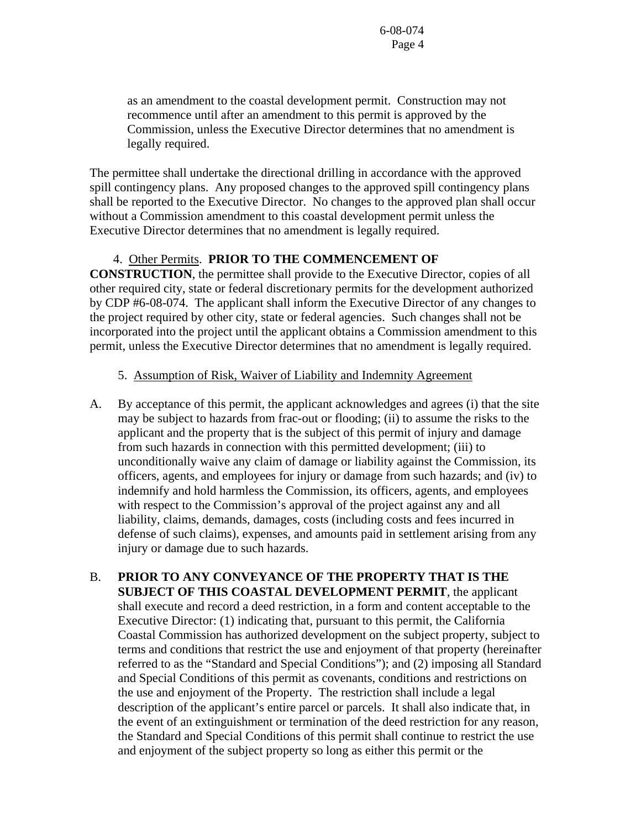as an amendment to the coastal development permit. Construction may not recommence until after an amendment to this permit is approved by the Commission, unless the Executive Director determines that no amendment is legally required.

The permittee shall undertake the directional drilling in accordance with the approved spill contingency plans. Any proposed changes to the approved spill contingency plans shall be reported to the Executive Director. No changes to the approved plan shall occur without a Commission amendment to this coastal development permit unless the Executive Director determines that no amendment is legally required.

### 4. Other Permits. **PRIOR TO THE COMMENCEMENT OF**

**CONSTRUCTION**, the permittee shall provide to the Executive Director, copies of all other required city, state or federal discretionary permits for the development authorized by CDP #6-08-074. The applicant shall inform the Executive Director of any changes to the project required by other city, state or federal agencies. Such changes shall not be incorporated into the project until the applicant obtains a Commission amendment to this permit, unless the Executive Director determines that no amendment is legally required.

## 5. Assumption of Risk, Waiver of Liability and Indemnity Agreement

- A. By acceptance of this permit, the applicant acknowledges and agrees (i) that the site may be subject to hazards from frac-out or flooding; (ii) to assume the risks to the applicant and the property that is the subject of this permit of injury and damage from such hazards in connection with this permitted development; (iii) to unconditionally waive any claim of damage or liability against the Commission, its officers, agents, and employees for injury or damage from such hazards; and (iv) to indemnify and hold harmless the Commission, its officers, agents, and employees with respect to the Commission's approval of the project against any and all liability, claims, demands, damages, costs (including costs and fees incurred in defense of such claims), expenses, and amounts paid in settlement arising from any injury or damage due to such hazards.
- B. **PRIOR TO ANY CONVEYANCE OF THE PROPERTY THAT IS THE SUBJECT OF THIS COASTAL DEVELOPMENT PERMIT**, the applicant shall execute and record a deed restriction, in a form and content acceptable to the Executive Director: (1) indicating that, pursuant to this permit, the California Coastal Commission has authorized development on the subject property, subject to terms and conditions that restrict the use and enjoyment of that property (hereinafter referred to as the "Standard and Special Conditions"); and (2) imposing all Standard and Special Conditions of this permit as covenants, conditions and restrictions on the use and enjoyment of the Property. The restriction shall include a legal description of the applicant's entire parcel or parcels. It shall also indicate that, in the event of an extinguishment or termination of the deed restriction for any reason, the Standard and Special Conditions of this permit shall continue to restrict the use and enjoyment of the subject property so long as either this permit or the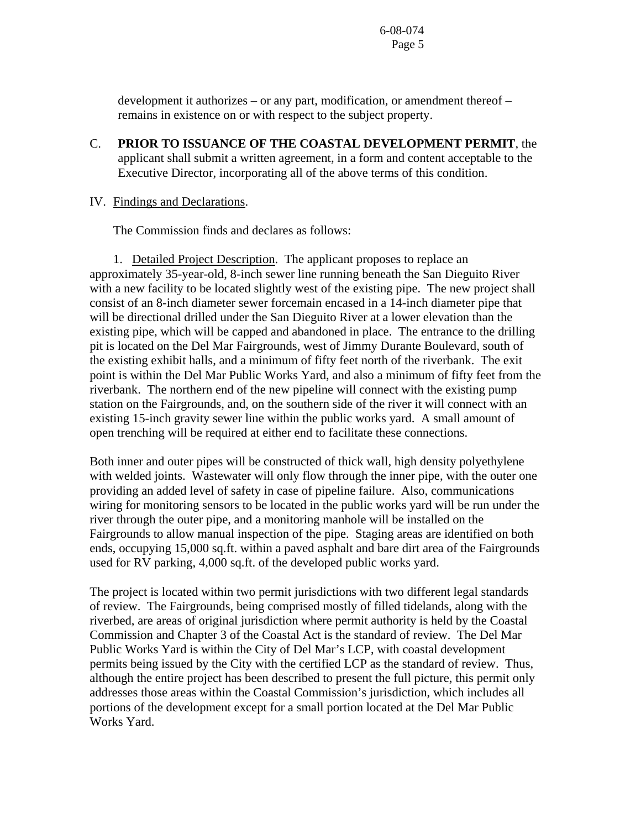development it authorizes – or any part, modification, or amendment thereof – remains in existence on or with respect to the subject property.

C. **PRIOR TO ISSUANCE OF THE COASTAL DEVELOPMENT PERMIT**, the applicant shall submit a written agreement, in a form and content acceptable to the Executive Director, incorporating all of the above terms of this condition.

### IV. Findings and Declarations.

The Commission finds and declares as follows:

 1. Detailed Project Description. The applicant proposes to replace an approximately 35-year-old, 8-inch sewer line running beneath the San Dieguito River with a new facility to be located slightly west of the existing pipe. The new project shall consist of an 8-inch diameter sewer forcemain encased in a 14-inch diameter pipe that will be directional drilled under the San Dieguito River at a lower elevation than the existing pipe, which will be capped and abandoned in place. The entrance to the drilling pit is located on the Del Mar Fairgrounds, west of Jimmy Durante Boulevard, south of the existing exhibit halls, and a minimum of fifty feet north of the riverbank. The exit point is within the Del Mar Public Works Yard, and also a minimum of fifty feet from the riverbank. The northern end of the new pipeline will connect with the existing pump station on the Fairgrounds, and, on the southern side of the river it will connect with an existing 15-inch gravity sewer line within the public works yard. A small amount of open trenching will be required at either end to facilitate these connections.

Both inner and outer pipes will be constructed of thick wall, high density polyethylene with welded joints. Wastewater will only flow through the inner pipe, with the outer one providing an added level of safety in case of pipeline failure. Also, communications wiring for monitoring sensors to be located in the public works yard will be run under the river through the outer pipe, and a monitoring manhole will be installed on the Fairgrounds to allow manual inspection of the pipe. Staging areas are identified on both ends, occupying 15,000 sq.ft. within a paved asphalt and bare dirt area of the Fairgrounds used for RV parking, 4,000 sq.ft. of the developed public works yard.

The project is located within two permit jurisdictions with two different legal standards of review. The Fairgrounds, being comprised mostly of filled tidelands, along with the riverbed, are areas of original jurisdiction where permit authority is held by the Coastal Commission and Chapter 3 of the Coastal Act is the standard of review. The Del Mar Public Works Yard is within the City of Del Mar's LCP, with coastal development permits being issued by the City with the certified LCP as the standard of review. Thus, although the entire project has been described to present the full picture, this permit only addresses those areas within the Coastal Commission's jurisdiction, which includes all portions of the development except for a small portion located at the Del Mar Public Works Yard.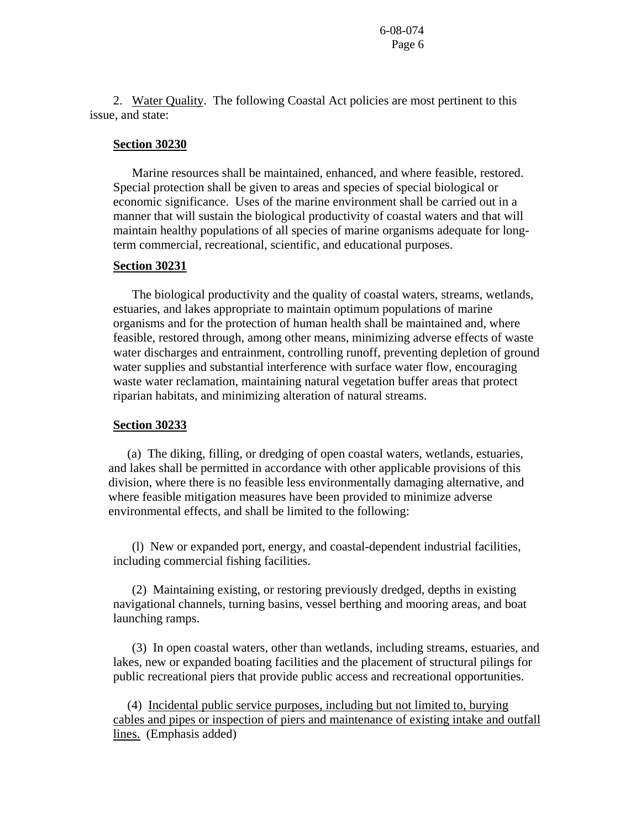2. Water Quality. The following Coastal Act policies are most pertinent to this issue, and state:

#### **Section 30230**

 Marine resources shall be maintained, enhanced, and where feasible, restored. Special protection shall be given to areas and species of special biological or economic significance. Uses of the marine environment shall be carried out in a manner that will sustain the biological productivity of coastal waters and that will maintain healthy populations of all species of marine organisms adequate for longterm commercial, recreational, scientific, and educational purposes.

### **Section 30231**

 The biological productivity and the quality of coastal waters, streams, wetlands, estuaries, and lakes appropriate to maintain optimum populations of marine organisms and for the protection of human health shall be maintained and, where feasible, restored through, among other means, minimizing adverse effects of waste water discharges and entrainment, controlling runoff, preventing depletion of ground water supplies and substantial interference with surface water flow, encouraging waste water reclamation, maintaining natural vegetation buffer areas that protect riparian habitats, and minimizing alteration of natural streams.

#### **Section 30233**

 (a) The diking, filling, or dredging of open coastal waters, wetlands, estuaries, and lakes shall be permitted in accordance with other applicable provisions of this division, where there is no feasible less environmentally damaging alternative, and where feasible mitigation measures have been provided to minimize adverse environmental effects, and shall be limited to the following:

 (l) New or expanded port, energy, and coastal-dependent industrial facilities, including commercial fishing facilities.

 (2) Maintaining existing, or restoring previously dredged, depths in existing navigational channels, turning basins, vessel berthing and mooring areas, and boat launching ramps.

 (3) In open coastal waters, other than wetlands, including streams, estuaries, and lakes, new or expanded boating facilities and the placement of structural pilings for public recreational piers that provide public access and recreational opportunities.

 (4) Incidental public service purposes, including but not limited to, burying cables and pipes or inspection of piers and maintenance of existing intake and outfall lines. (Emphasis added)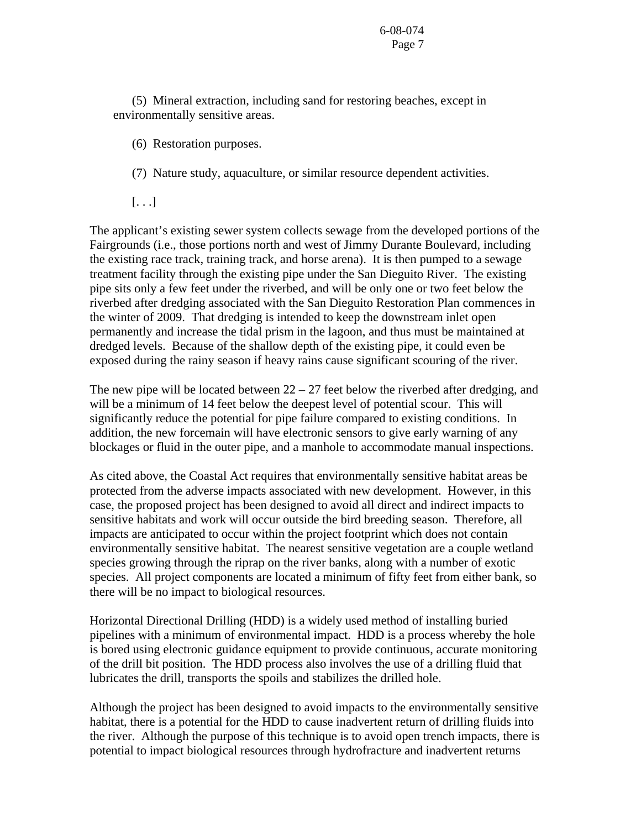(5) Mineral extraction, including sand for restoring beaches, except in environmentally sensitive areas.

- (6) Restoration purposes.
- (7) Nature study, aquaculture, or similar resource dependent activities.

 $[\ldots]$ 

The applicant's existing sewer system collects sewage from the developed portions of the Fairgrounds (i.e., those portions north and west of Jimmy Durante Boulevard, including the existing race track, training track, and horse arena). It is then pumped to a sewage treatment facility through the existing pipe under the San Dieguito River. The existing pipe sits only a few feet under the riverbed, and will be only one or two feet below the riverbed after dredging associated with the San Dieguito Restoration Plan commences in the winter of 2009. That dredging is intended to keep the downstream inlet open permanently and increase the tidal prism in the lagoon, and thus must be maintained at dredged levels. Because of the shallow depth of the existing pipe, it could even be exposed during the rainy season if heavy rains cause significant scouring of the river.

The new pipe will be located between  $22 - 27$  feet below the riverbed after dredging, and will be a minimum of 14 feet below the deepest level of potential scour. This will significantly reduce the potential for pipe failure compared to existing conditions. In addition, the new forcemain will have electronic sensors to give early warning of any blockages or fluid in the outer pipe, and a manhole to accommodate manual inspections.

As cited above, the Coastal Act requires that environmentally sensitive habitat areas be protected from the adverse impacts associated with new development. However, in this case, the proposed project has been designed to avoid all direct and indirect impacts to sensitive habitats and work will occur outside the bird breeding season. Therefore, all impacts are anticipated to occur within the project footprint which does not contain environmentally sensitive habitat. The nearest sensitive vegetation are a couple wetland species growing through the riprap on the river banks, along with a number of exotic species. All project components are located a minimum of fifty feet from either bank, so there will be no impact to biological resources.

Horizontal Directional Drilling (HDD) is a widely used method of installing buried pipelines with a minimum of environmental impact. HDD is a process whereby the hole is bored using electronic guidance equipment to provide continuous, accurate monitoring of the drill bit position. The HDD process also involves the use of a drilling fluid that lubricates the drill, transports the spoils and stabilizes the drilled hole.

Although the project has been designed to avoid impacts to the environmentally sensitive habitat, there is a potential for the HDD to cause inadvertent return of drilling fluids into the river. Although the purpose of this technique is to avoid open trench impacts, there is potential to impact biological resources through hydrofracture and inadvertent returns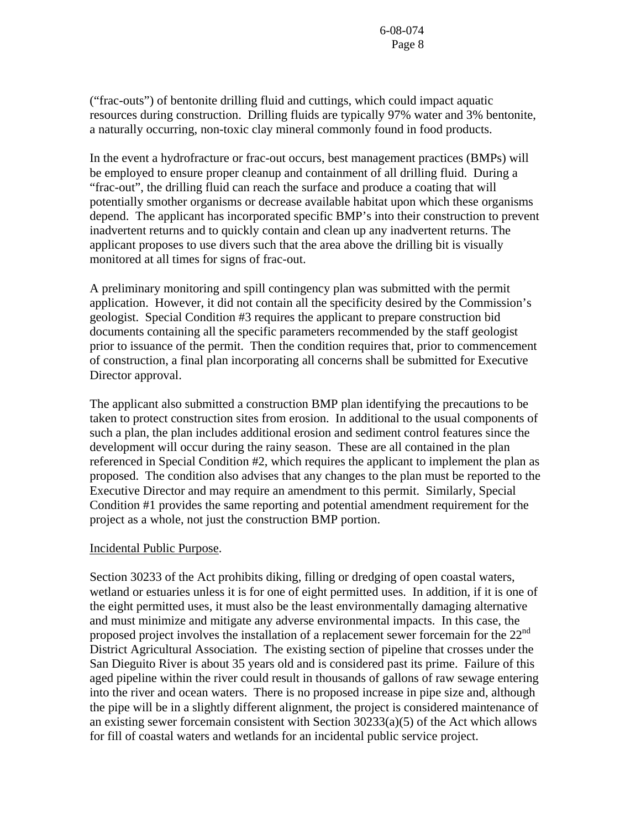("frac-outs") of bentonite drilling fluid and cuttings, which could impact aquatic resources during construction. Drilling fluids are typically 97% water and 3% bentonite, a naturally occurring, non-toxic clay mineral commonly found in food products.

In the event a hydrofracture or frac-out occurs, best management practices (BMPs) will be employed to ensure proper cleanup and containment of all drilling fluid. During a "frac-out", the drilling fluid can reach the surface and produce a coating that will potentially smother organisms or decrease available habitat upon which these organisms depend. The applicant has incorporated specific BMP's into their construction to prevent inadvertent returns and to quickly contain and clean up any inadvertent returns. The applicant proposes to use divers such that the area above the drilling bit is visually monitored at all times for signs of frac-out.

A preliminary monitoring and spill contingency plan was submitted with the permit application. However, it did not contain all the specificity desired by the Commission's geologist. Special Condition #3 requires the applicant to prepare construction bid documents containing all the specific parameters recommended by the staff geologist prior to issuance of the permit. Then the condition requires that, prior to commencement of construction, a final plan incorporating all concerns shall be submitted for Executive Director approval.

The applicant also submitted a construction BMP plan identifying the precautions to be taken to protect construction sites from erosion. In additional to the usual components of such a plan, the plan includes additional erosion and sediment control features since the development will occur during the rainy season. These are all contained in the plan referenced in Special Condition #2, which requires the applicant to implement the plan as proposed. The condition also advises that any changes to the plan must be reported to the Executive Director and may require an amendment to this permit. Similarly, Special Condition #1 provides the same reporting and potential amendment requirement for the project as a whole, not just the construction BMP portion.

## Incidental Public Purpose.

Section 30233 of the Act prohibits diking, filling or dredging of open coastal waters, wetland or estuaries unless it is for one of eight permitted uses. In addition, if it is one of the eight permitted uses, it must also be the least environmentally damaging alternative and must minimize and mitigate any adverse environmental impacts. In this case, the proposed project involves the installation of a replacement sewer forcemain for the 22<sup>nd</sup> District Agricultural Association. The existing section of pipeline that crosses under the San Dieguito River is about 35 years old and is considered past its prime. Failure of this aged pipeline within the river could result in thousands of gallons of raw sewage entering into the river and ocean waters. There is no proposed increase in pipe size and, although the pipe will be in a slightly different alignment, the project is considered maintenance of an existing sewer forcemain consistent with Section 30233(a)(5) of the Act which allows for fill of coastal waters and wetlands for an incidental public service project.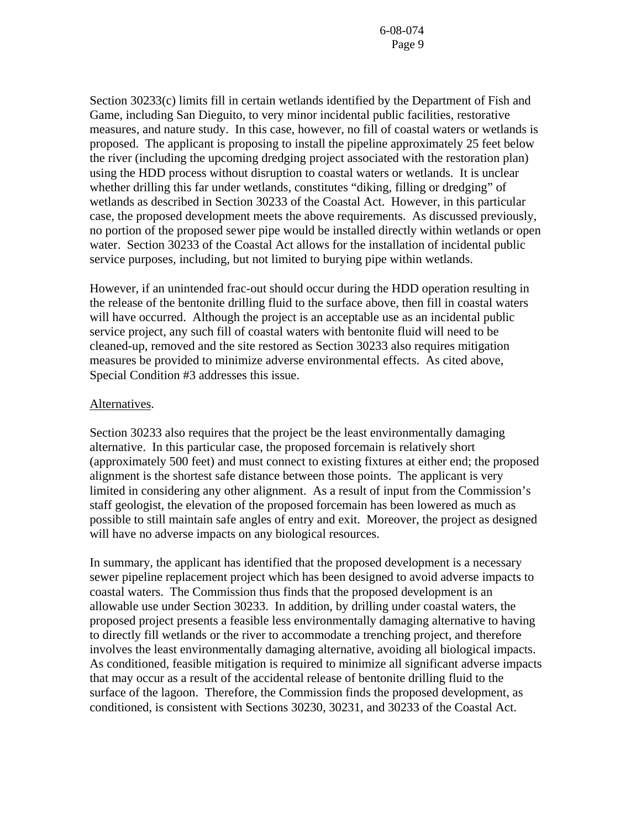Section 30233(c) limits fill in certain wetlands identified by the Department of Fish and Game, including San Dieguito, to very minor incidental public facilities, restorative measures, and nature study. In this case, however, no fill of coastal waters or wetlands is proposed. The applicant is proposing to install the pipeline approximately 25 feet below the river (including the upcoming dredging project associated with the restoration plan) using the HDD process without disruption to coastal waters or wetlands. It is unclear whether drilling this far under wetlands, constitutes "diking, filling or dredging" of wetlands as described in Section 30233 of the Coastal Act. However, in this particular case, the proposed development meets the above requirements. As discussed previously, no portion of the proposed sewer pipe would be installed directly within wetlands or open water. Section 30233 of the Coastal Act allows for the installation of incidental public service purposes, including, but not limited to burying pipe within wetlands.

However, if an unintended frac-out should occur during the HDD operation resulting in the release of the bentonite drilling fluid to the surface above, then fill in coastal waters will have occurred. Although the project is an acceptable use as an incidental public service project, any such fill of coastal waters with bentonite fluid will need to be cleaned-up, removed and the site restored as Section 30233 also requires mitigation measures be provided to minimize adverse environmental effects. As cited above, Special Condition #3 addresses this issue.

### Alternatives.

Section 30233 also requires that the project be the least environmentally damaging alternative. In this particular case, the proposed forcemain is relatively short (approximately 500 feet) and must connect to existing fixtures at either end; the proposed alignment is the shortest safe distance between those points. The applicant is very limited in considering any other alignment. As a result of input from the Commission's staff geologist, the elevation of the proposed forcemain has been lowered as much as possible to still maintain safe angles of entry and exit. Moreover, the project as designed will have no adverse impacts on any biological resources.

In summary, the applicant has identified that the proposed development is a necessary sewer pipeline replacement project which has been designed to avoid adverse impacts to coastal waters. The Commission thus finds that the proposed development is an allowable use under Section 30233. In addition, by drilling under coastal waters, the proposed project presents a feasible less environmentally damaging alternative to having to directly fill wetlands or the river to accommodate a trenching project, and therefore involves the least environmentally damaging alternative, avoiding all biological impacts. As conditioned, feasible mitigation is required to minimize all significant adverse impacts that may occur as a result of the accidental release of bentonite drilling fluid to the surface of the lagoon. Therefore, the Commission finds the proposed development, as conditioned, is consistent with Sections 30230, 30231, and 30233 of the Coastal Act.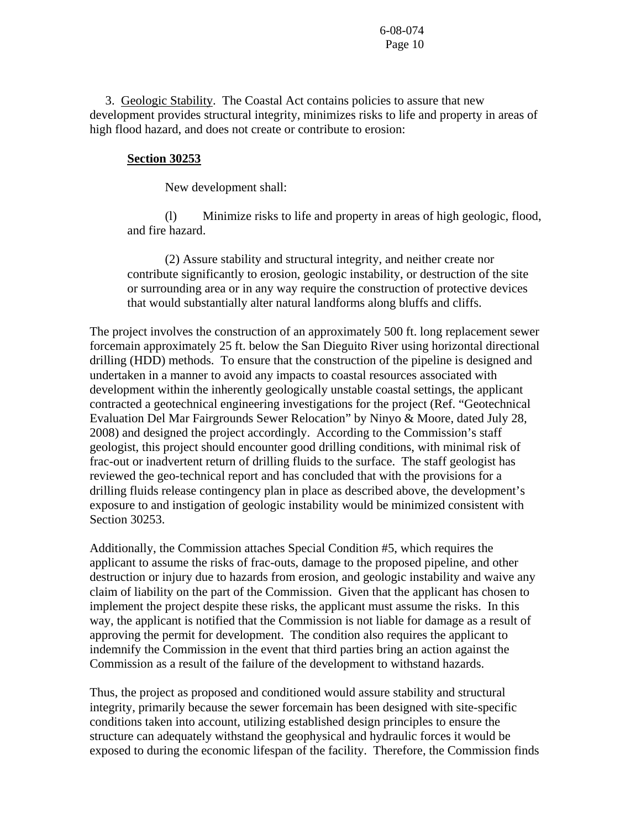3. Geologic Stability. The Coastal Act contains policies to assure that new development provides structural integrity, minimizes risks to life and property in areas of high flood hazard, and does not create or contribute to erosion:

### **Section 30253**

New development shall:

 (l) Minimize risks to life and property in areas of high geologic, flood, and fire hazard.

 (2) Assure stability and structural integrity, and neither create nor contribute significantly to erosion, geologic instability, or destruction of the site or surrounding area or in any way require the construction of protective devices that would substantially alter natural landforms along bluffs and cliffs.

The project involves the construction of an approximately 500 ft. long replacement sewer forcemain approximately 25 ft. below the San Dieguito River using horizontal directional drilling (HDD) methods. To ensure that the construction of the pipeline is designed and undertaken in a manner to avoid any impacts to coastal resources associated with development within the inherently geologically unstable coastal settings, the applicant contracted a geotechnical engineering investigations for the project (Ref. "Geotechnical Evaluation Del Mar Fairgrounds Sewer Relocation" by Ninyo & Moore, dated July 28, 2008) and designed the project accordingly. According to the Commission's staff geologist, this project should encounter good drilling conditions, with minimal risk of frac-out or inadvertent return of drilling fluids to the surface. The staff geologist has reviewed the geo-technical report and has concluded that with the provisions for a drilling fluids release contingency plan in place as described above, the development's exposure to and instigation of geologic instability would be minimized consistent with Section 30253.

Additionally, the Commission attaches Special Condition #5, which requires the applicant to assume the risks of frac-outs, damage to the proposed pipeline, and other destruction or injury due to hazards from erosion, and geologic instability and waive any claim of liability on the part of the Commission. Given that the applicant has chosen to implement the project despite these risks, the applicant must assume the risks. In this way, the applicant is notified that the Commission is not liable for damage as a result of approving the permit for development. The condition also requires the applicant to indemnify the Commission in the event that third parties bring an action against the Commission as a result of the failure of the development to withstand hazards.

Thus, the project as proposed and conditioned would assure stability and structural integrity, primarily because the sewer forcemain has been designed with site-specific conditions taken into account, utilizing established design principles to ensure the structure can adequately withstand the geophysical and hydraulic forces it would be exposed to during the economic lifespan of the facility. Therefore, the Commission finds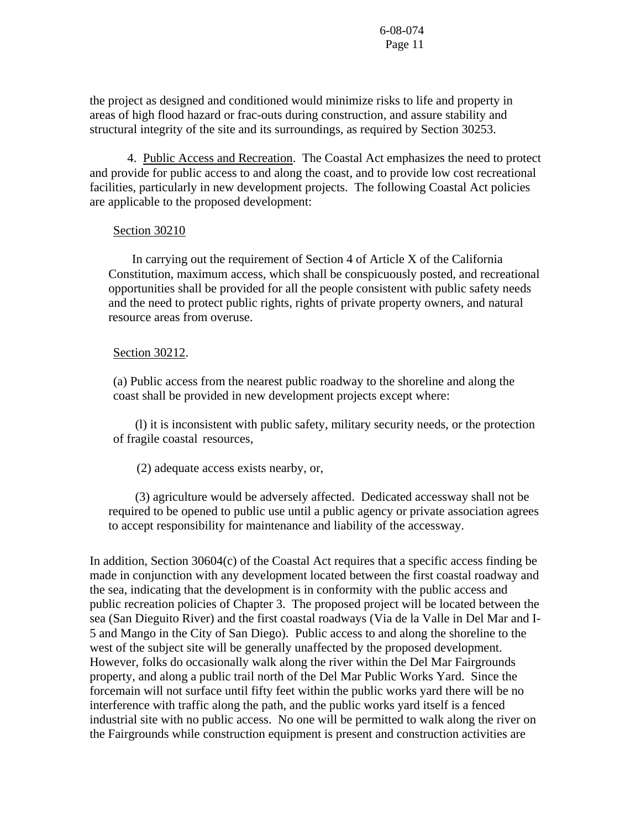the project as designed and conditioned would minimize risks to life and property in areas of high flood hazard or frac-outs during construction, and assure stability and structural integrity of the site and its surroundings, as required by Section 30253.

 4. Public Access and Recreation. The Coastal Act emphasizes the need to protect and provide for public access to and along the coast, and to provide low cost recreational facilities, particularly in new development projects. The following Coastal Act policies are applicable to the proposed development:

### Section 30210

 In carrying out the requirement of Section 4 of Article X of the California Constitution, maximum access, which shall be conspicuously posted, and recreational opportunities shall be provided for all the people consistent with public safety needs and the need to protect public rights, rights of private property owners, and natural resource areas from overuse.

### Section 30212.

(a) Public access from the nearest public roadway to the shoreline and along the coast shall be provided in new development projects except where:

 (l) it is inconsistent with public safety, military security needs, or the protection of fragile coastal resources,

(2) adequate access exists nearby, or,

 (3) agriculture would be adversely affected. Dedicated accessway shall not be required to be opened to public use until a public agency or private association agrees to accept responsibility for maintenance and liability of the accessway.

In addition, Section 30604(c) of the Coastal Act requires that a specific access finding be made in conjunction with any development located between the first coastal roadway and the sea, indicating that the development is in conformity with the public access and public recreation policies of Chapter 3. The proposed project will be located between the sea (San Dieguito River) and the first coastal roadways (Via de la Valle in Del Mar and I-5 and Mango in the City of San Diego). Public access to and along the shoreline to the west of the subject site will be generally unaffected by the proposed development. However, folks do occasionally walk along the river within the Del Mar Fairgrounds property, and along a public trail north of the Del Mar Public Works Yard. Since the forcemain will not surface until fifty feet within the public works yard there will be no interference with traffic along the path, and the public works yard itself is a fenced industrial site with no public access. No one will be permitted to walk along the river on the Fairgrounds while construction equipment is present and construction activities are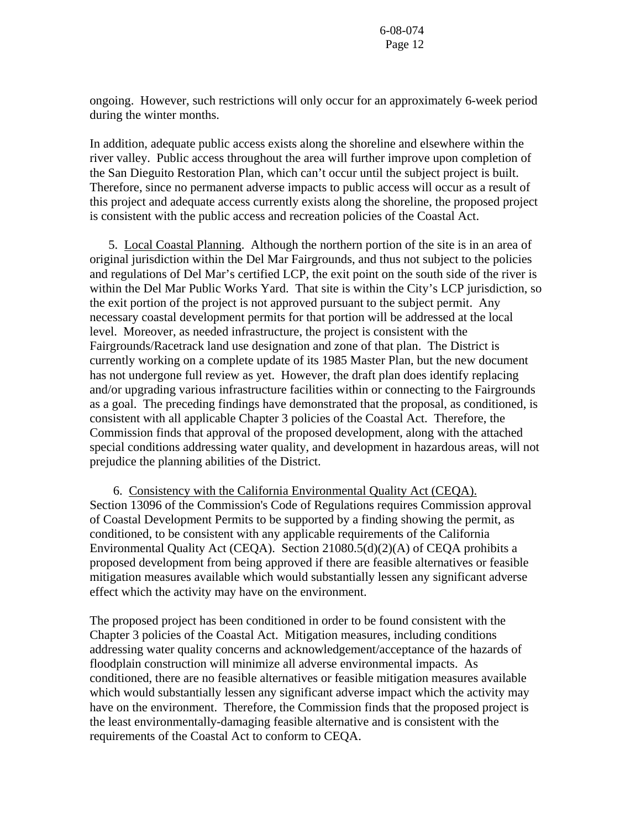ongoing. However, such restrictions will only occur for an approximately 6-week period during the winter months.

In addition, adequate public access exists along the shoreline and elsewhere within the river valley. Public access throughout the area will further improve upon completion of the San Dieguito Restoration Plan, which can't occur until the subject project is built. Therefore, since no permanent adverse impacts to public access will occur as a result of this project and adequate access currently exists along the shoreline, the proposed project is consistent with the public access and recreation policies of the Coastal Act.

5. Local Coastal Planning. Although the northern portion of the site is in an area of original jurisdiction within the Del Mar Fairgrounds, and thus not subject to the policies and regulations of Del Mar's certified LCP, the exit point on the south side of the river is within the Del Mar Public Works Yard. That site is within the City's LCP jurisdiction, so the exit portion of the project is not approved pursuant to the subject permit. Any necessary coastal development permits for that portion will be addressed at the local level. Moreover, as needed infrastructure, the project is consistent with the Fairgrounds/Racetrack land use designation and zone of that plan. The District is currently working on a complete update of its 1985 Master Plan, but the new document has not undergone full review as yet. However, the draft plan does identify replacing and/or upgrading various infrastructure facilities within or connecting to the Fairgrounds as a goal. The preceding findings have demonstrated that the proposal, as conditioned, is consistent with all applicable Chapter 3 policies of the Coastal Act. Therefore, the Commission finds that approval of the proposed development, along with the attached special conditions addressing water quality, and development in hazardous areas, will not prejudice the planning abilities of the District.

 6. Consistency with the California Environmental Quality Act (CEQA). Section 13096 of the Commission's Code of Regulations requires Commission approval of Coastal Development Permits to be supported by a finding showing the permit, as conditioned, to be consistent with any applicable requirements of the California Environmental Quality Act (CEQA). Section 21080.5(d)(2)(A) of CEQA prohibits a proposed development from being approved if there are feasible alternatives or feasible mitigation measures available which would substantially lessen any significant adverse effect which the activity may have on the environment.

The proposed project has been conditioned in order to be found consistent with the Chapter 3 policies of the Coastal Act. Mitigation measures, including conditions addressing water quality concerns and acknowledgement/acceptance of the hazards of floodplain construction will minimize all adverse environmental impacts. As conditioned, there are no feasible alternatives or feasible mitigation measures available which would substantially lessen any significant adverse impact which the activity may have on the environment. Therefore, the Commission finds that the proposed project is the least environmentally-damaging feasible alternative and is consistent with the requirements of the Coastal Act to conform to CEQA.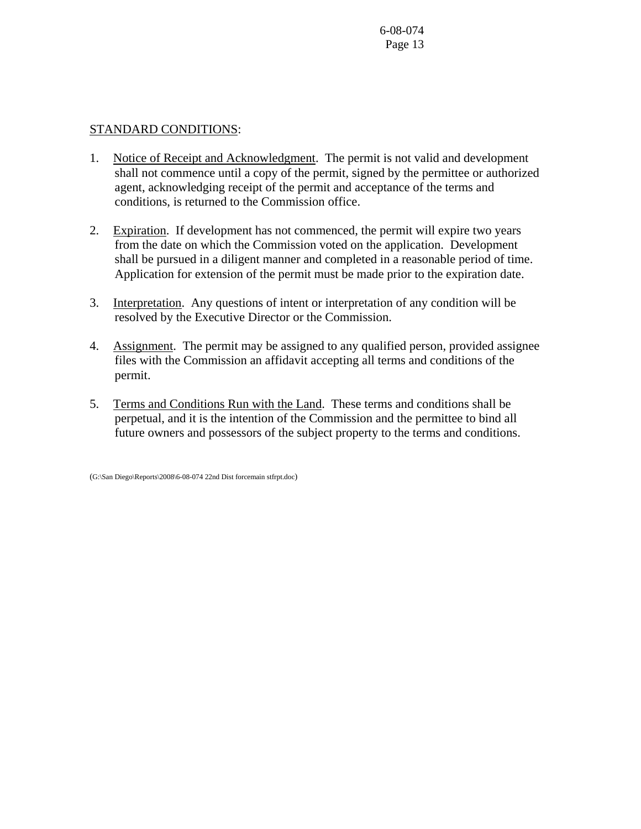## STANDARD CONDITIONS:

- 1. Notice of Receipt and Acknowledgment. The permit is not valid and development shall not commence until a copy of the permit, signed by the permittee or authorized agent, acknowledging receipt of the permit and acceptance of the terms and conditions, is returned to the Commission office.
- 2. Expiration. If development has not commenced, the permit will expire two years from the date on which the Commission voted on the application. Development shall be pursued in a diligent manner and completed in a reasonable period of time. Application for extension of the permit must be made prior to the expiration date.
- 3. Interpretation. Any questions of intent or interpretation of any condition will be resolved by the Executive Director or the Commission.
- 4. Assignment. The permit may be assigned to any qualified person, provided assignee files with the Commission an affidavit accepting all terms and conditions of the permit.
- 5. Terms and Conditions Run with the Land. These terms and conditions shall be perpetual, and it is the intention of the Commission and the permittee to bind all future owners and possessors of the subject property to the terms and conditions.

(G:\San Diego\Reports\2008\6-08-074 22nd Dist forcemain stfrpt.doc)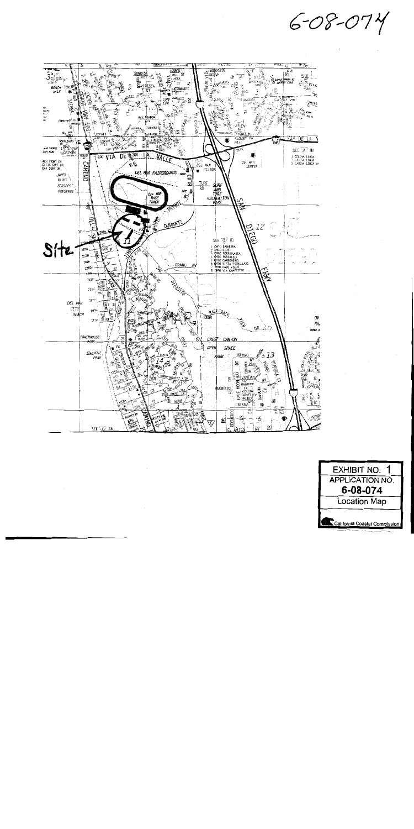$6 - 08 - 074$